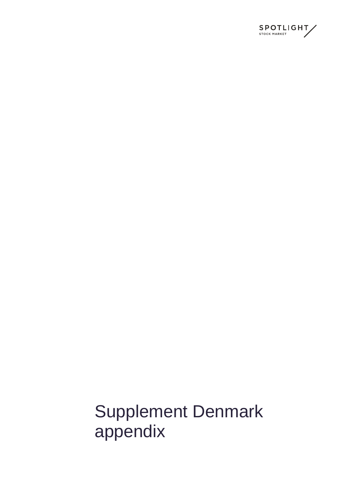

Supplement Denmark appendix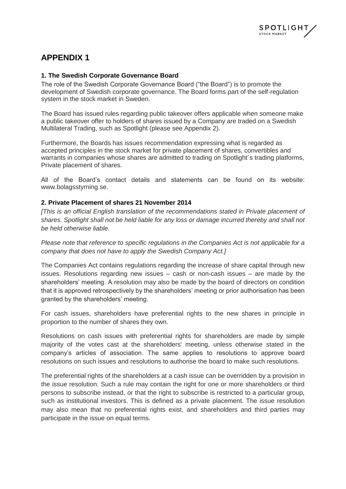

## **APPENDIX 1**

## **1. The Swedish Corporate Governance Board**

The role of the Swedish Corporate Governance Board ("the Board") is to promote the development of Swedish corporate governance. The Board forms part of the self-regulation system in the stock market in Sweden.

The Board has issued rules regarding public takeover offers applicable when someone make a public takeover offer to holders of shares issued by a Company are traded on a Swedish Multilateral Trading, such as Spotlight (please see Appendix 2).

Furthermore, the Boards has issues recommendation expressing what is regarded as accepted principles in the stock market for private placement of shares, convertibles and warrants in companies whose shares are admitted to trading on Spotlight's trading platforms, Private placement of shares.

All of the Board's contact details and statements can be found on its website: www.bolagsstyrning.se.

## **2. Private Placement of shares 21 November 2014**

*[This is an official English translation of the recommendations stated in Private placement of shares. Spotlight shall not be held liable for any loss or damage incurred thereby and shall not be held otherwise liable.*

*Please note that reference to specific regulations in the Companies Act is not applicable for a company that does not have to apply the Swedish Company Act.]*

The Companies Act contains regulations regarding the increase of share capital through new issues. Resolutions regarding new issues – cash or non-cash issues – are made by the shareholders' meeting. A resolution may also be made by the board of directors on condition that it is approved retrospectively by the shareholders' meeting or prior authorisation has been granted by the shareholders' meeting.

For cash issues, shareholders have preferential rights to the new shares in principle in proportion to the number of shares they own.

Resolutions on cash issues with preferential rights for shareholders are made by simple majority of the votes cast at the shareholders' meeting, unless otherwise stated in the company's articles of association. The same applies to resolutions to approve board resolutions on such issues and resolutions to authorise the board to make such resolutions.

The preferential rights of the shareholders at a cash issue can be overridden by a provision in the issue resolution. Such a rule may contain the right for one or more shareholders or third persons to subscribe instead, or that the right to subscribe is restricted to a particular group, such as institutional investors. This is defined as a private placement. The issue resolution may also mean that no preferential rights exist, and shareholders and third parties may participate in the issue on equal terms.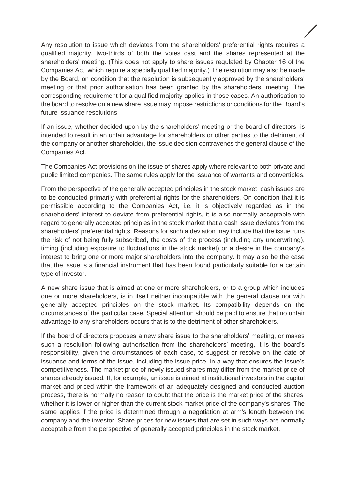Any resolution to issue which deviates from the shareholders' preferential rights requires a qualified majority, two-thirds of both the votes cast and the shares represented at the shareholders' meeting. (This does not apply to share issues regulated by Chapter 16 of the Companies Act, which require a specially qualified majority.) The resolution may also be made by the Board, on condition that the resolution is subsequently approved by the shareholders' meeting or that prior authorisation has been granted by the shareholders' meeting. The corresponding requirement for a qualified majority applies in those cases. An authorisation to the board to resolve on a new share issue may impose restrictions or conditions for the Board's future issuance resolutions.

If an issue, whether decided upon by the shareholders' meeting or the board of directors, is intended to result in an unfair advantage for shareholders or other parties to the detriment of the company or another shareholder, the issue decision contravenes the general clause of the Companies Act.

The Companies Act provisions on the issue of shares apply where relevant to both private and public limited companies. The same rules apply for the issuance of warrants and convertibles.

From the perspective of the generally accepted principles in the stock market, cash issues are to be conducted primarily with preferential rights for the shareholders. On condition that it is permissible according to the Companies Act, i.e. it is objectively regarded as in the shareholders' interest to deviate from preferential rights, it is also normally acceptable with regard to generally accepted principles in the stock market that a cash issue deviates from the shareholders' preferential rights. Reasons for such a deviation may include that the issue runs the risk of not being fully subscribed, the costs of the process (including any underwriting), timing (including exposure to fluctuations in the stock market) or a desire in the company's interest to bring one or more major shareholders into the company. It may also be the case that the issue is a financial instrument that has been found particularly suitable for a certain type of investor.

A new share issue that is aimed at one or more shareholders, or to a group which includes one or more shareholders, is in itself neither incompatible with the general clause nor with generally accepted principles on the stock market. Its compatibility depends on the circumstances of the particular case. Special attention should be paid to ensure that no unfair advantage to any shareholders occurs that is to the detriment of other shareholders.

If the board of directors proposes a new share issue to the shareholders' meeting, or makes such a resolution following authorisation from the shareholders' meeting, it is the board's responsibility, given the circumstances of each case, to suggest or resolve on the date of issuance and terms of the issue, including the issue price, in a way that ensures the issue's competitiveness. The market price of newly issued shares may differ from the market price of shares already issued. If, for example, an issue is aimed at institutional investors in the capital market and priced within the framework of an adequately designed and conducted auction process, there is normally no reason to doubt that the price is the market price of the shares, whether it is lower or higher than the current stock market price of the company's shares. The same applies if the price is determined through a negotiation at arm's length between the company and the investor. Share prices for new issues that are set in such ways are normally acceptable from the perspective of generally accepted principles in the stock market.